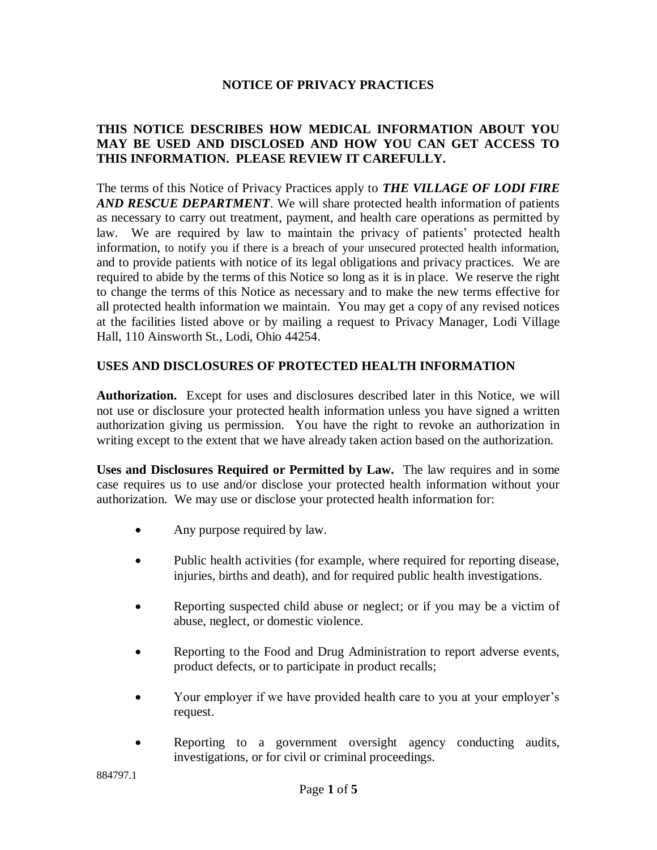#### **NOTICE OF PRIVACY PRACTICES**

## **THIS NOTICE DESCRIBES HOW MEDICAL INFORMATION ABOUT YOU MAY BE USED AND DISCLOSED AND HOW YOU CAN GET ACCESS TO THIS INFORMATION. PLEASE REVIEW IT CAREFULLY.**

The terms of this Notice of Privacy Practices apply to *THE VILLAGE OF LODI FIRE AND RESCUE DEPARTMENT*. We will share protected health information of patients as necessary to carry out treatment, payment, and health care operations as permitted by law.We are required by law to maintain the privacy of patients' protected health information, to notify you if there is a breach of your unsecured protected health information, and to provide patients with notice of its legal obligations and privacy practices. We are required to abide by the terms of this Notice so long as it is in place. We reserve the right to change the terms of this Notice as necessary and to make the new terms effective for all protected health information we maintain. You may get a copy of any revised notices at the facilities listed above or by mailing a request to Privacy Manager, Lodi Village Hall, 110 Ainsworth St., Lodi, Ohio 44254.

## **USES AND DISCLOSURES OF PROTECTED HEALTH INFORMATION**

**Authorization.** Except for uses and disclosures described later in this Notice, we will not use or disclosure your protected health information unless you have signed a written authorization giving us permission. You have the right to revoke an authorization in writing except to the extent that we have already taken action based on the authorization.

**Uses and Disclosures Required or Permitted by Law.** The law requires and in some case requires us to use and/or disclose your protected health information without your authorization. We may use or disclose your protected health information for:

- Any purpose required by law.
- Public health activities (for example, where required for reporting disease, injuries, births and death), and for required public health investigations.
- Reporting suspected child abuse or neglect; or if you may be a victim of abuse, neglect, or domestic violence.
- Reporting to the Food and Drug Administration to report adverse events, product defects, or to participate in product recalls;
- Your employer if we have provided health care to you at your employer's request.
- Reporting to a government oversight agency conducting audits, investigations, or for civil or criminal proceedings.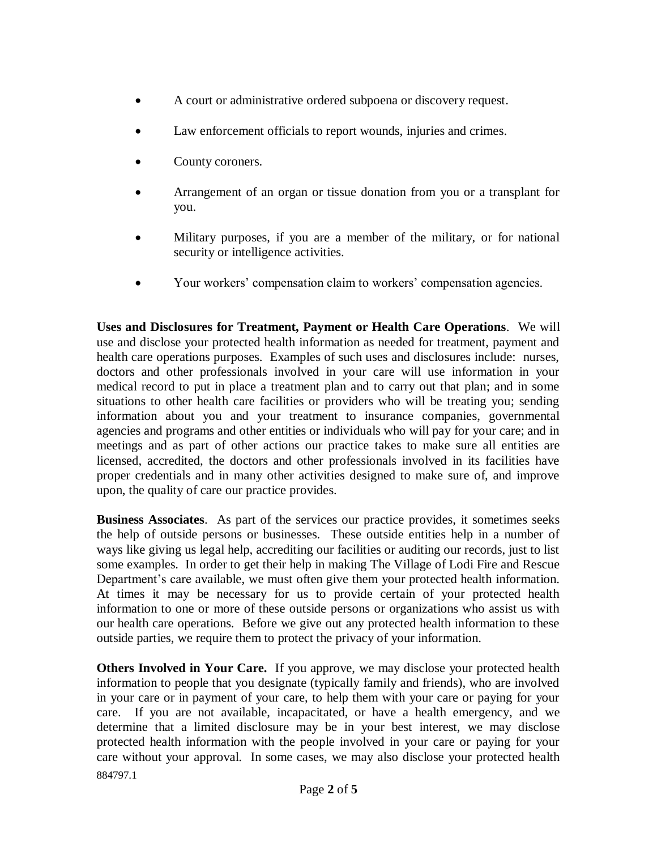- A court or administrative ordered subpoena or discovery request.
- Law enforcement officials to report wounds, injuries and crimes.
- County coroners.
- Arrangement of an organ or tissue donation from you or a transplant for you.
- Military purposes, if you are a member of the military, or for national security or intelligence activities.
- Your workers' compensation claim to workers' compensation agencies.

**Uses and Disclosures for Treatment, Payment or Health Care Operations**. We will use and disclose your protected health information as needed for treatment, payment and health care operations purposes. Examples of such uses and disclosures include: nurses, doctors and other professionals involved in your care will use information in your medical record to put in place a treatment plan and to carry out that plan; and in some situations to other health care facilities or providers who will be treating you; sending information about you and your treatment to insurance companies, governmental agencies and programs and other entities or individuals who will pay for your care; and in meetings and as part of other actions our practice takes to make sure all entities are licensed, accredited, the doctors and other professionals involved in its facilities have proper credentials and in many other activities designed to make sure of, and improve upon, the quality of care our practice provides.

**Business Associates**. As part of the services our practice provides, it sometimes seeks the help of outside persons or businesses. These outside entities help in a number of ways like giving us legal help, accrediting our facilities or auditing our records, just to list some examples. In order to get their help in making The Village of Lodi Fire and Rescue Department's care available, we must often give them your protected health information. At times it may be necessary for us to provide certain of your protected health information to one or more of these outside persons or organizations who assist us with our health care operations. Before we give out any protected health information to these outside parties, we require them to protect the privacy of your information.

884797.1 **Others Involved in Your Care.** If you approve, we may disclose your protected health information to people that you designate (typically family and friends), who are involved in your care or in payment of your care, to help them with your care or paying for your care. If you are not available, incapacitated, or have a health emergency, and we determine that a limited disclosure may be in your best interest, we may disclose protected health information with the people involved in your care or paying for your care without your approval. In some cases, we may also disclose your protected health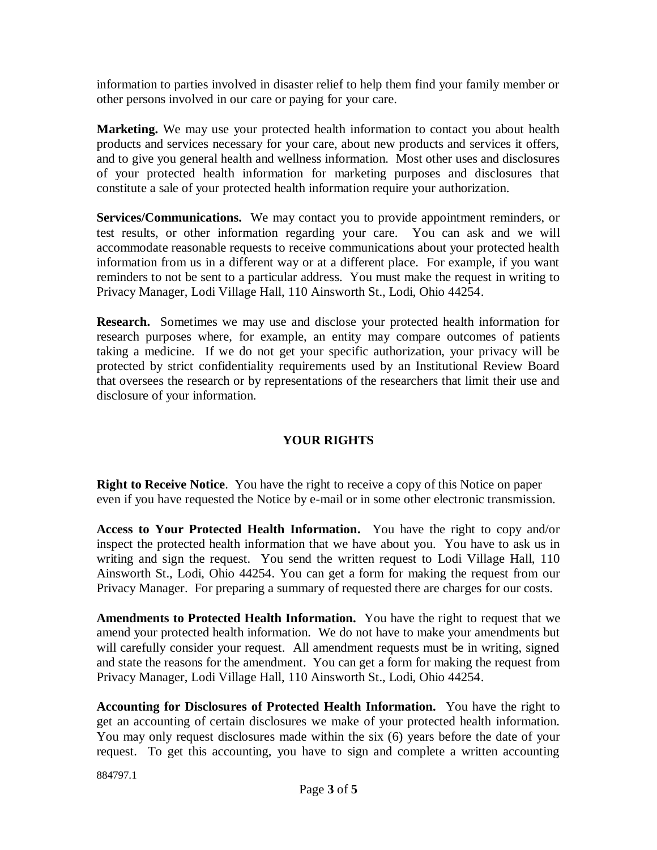information to parties involved in disaster relief to help them find your family member or other persons involved in our care or paying for your care.

**Marketing.** We may use your protected health information to contact you about health products and services necessary for your care, about new products and services it offers, and to give you general health and wellness information. Most other uses and disclosures of your protected health information for marketing purposes and disclosures that constitute a sale of your protected health information require your authorization.

**Services/Communications.** We may contact you to provide appointment reminders, or test results, or other information regarding your care. You can ask and we will accommodate reasonable requests to receive communications about your protected health information from us in a different way or at a different place. For example, if you want reminders to not be sent to a particular address. You must make the request in writing to Privacy Manager, Lodi Village Hall, 110 Ainsworth St., Lodi, Ohio 44254.

**Research.** Sometimes we may use and disclose your protected health information for research purposes where, for example, an entity may compare outcomes of patients taking a medicine. If we do not get your specific authorization, your privacy will be protected by strict confidentiality requirements used by an Institutional Review Board that oversees the research or by representations of the researchers that limit their use and disclosure of your information.

# **YOUR RIGHTS**

**Right to Receive Notice**. You have the right to receive a copy of this Notice on paper even if you have requested the Notice by e-mail or in some other electronic transmission.

**Access to Your Protected Health Information.** You have the right to copy and/or inspect the protected health information that we have about you. You have to ask us in writing and sign the request. You send the written request to Lodi Village Hall, 110 Ainsworth St., Lodi, Ohio 44254. You can get a form for making the request from our Privacy Manager. For preparing a summary of requested there are charges for our costs.

**Amendments to Protected Health Information.** You have the right to request that we amend your protected health information. We do not have to make your amendments but will carefully consider your request. All amendment requests must be in writing, signed and state the reasons for the amendment. You can get a form for making the request from Privacy Manager, Lodi Village Hall, 110 Ainsworth St., Lodi, Ohio 44254.

**Accounting for Disclosures of Protected Health Information.** You have the right to get an accounting of certain disclosures we make of your protected health information. You may only request disclosures made within the six (6) years before the date of your request. To get this accounting, you have to sign and complete a written accounting

884797.1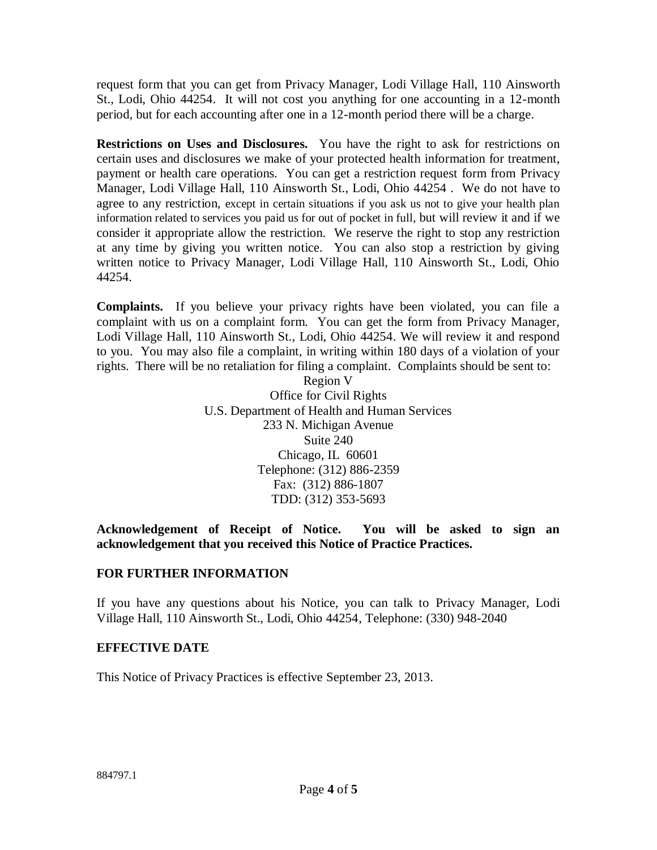request form that you can get from Privacy Manager, Lodi Village Hall, 110 Ainsworth St., Lodi, Ohio 44254. It will not cost you anything for one accounting in a 12-month period, but for each accounting after one in a 12-month period there will be a charge.

**Restrictions on Uses and Disclosures.** You have the right to ask for restrictions on certain uses and disclosures we make of your protected health information for treatment, payment or health care operations. You can get a restriction request form from Privacy Manager, Lodi Village Hall, 110 Ainsworth St., Lodi, Ohio 44254 . We do not have to agree to any restriction, except in certain situations if you ask us not to give your health plan information related to services you paid us for out of pocket in full, but will review it and if we consider it appropriate allow the restriction. We reserve the right to stop any restriction at any time by giving you written notice. You can also stop a restriction by giving written notice to Privacy Manager, Lodi Village Hall, 110 Ainsworth St., Lodi, Ohio 44254.

**Complaints.** If you believe your privacy rights have been violated, you can file a complaint with us on a complaint form. You can get the form from Privacy Manager, Lodi Village Hall, 110 Ainsworth St., Lodi, Ohio 44254. We will review it and respond to you. You may also file a complaint, in writing within 180 days of a violation of your rights. There will be no retaliation for filing a complaint. Complaints should be sent to:

> Region V Office for Civil Rights U.S. Department of Health and Human Services 233 N. Michigan Avenue Suite 240 Chicago, IL 60601 Telephone: (312) 886-2359 Fax: (312) 886-1807 TDD: (312) 353-5693

**Acknowledgement of Receipt of Notice. You will be asked to sign an acknowledgement that you received this Notice of Practice Practices.**

## **FOR FURTHER INFORMATION**

If you have any questions about his Notice, you can talk to Privacy Manager, Lodi Village Hall, 110 Ainsworth St., Lodi, Ohio 44254, Telephone: (330) 948-2040

## **EFFECTIVE DATE**

This Notice of Privacy Practices is effective September 23, 2013.